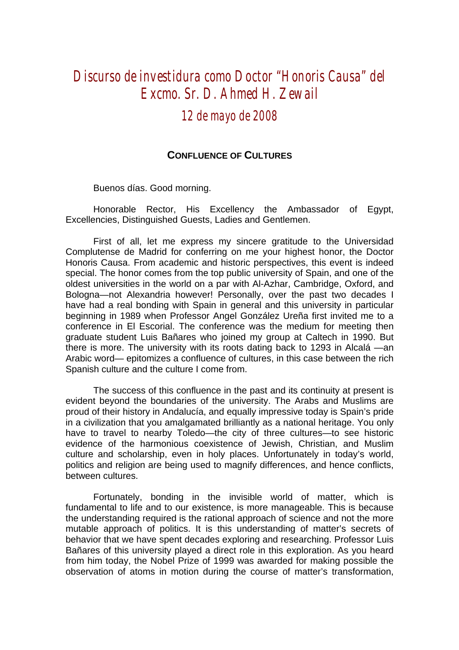## *Discurso de investidura como Doctor "Honoris Causa" del Excmo. Sr. D. Ahmed H. Zewail*

## *12 de mayo de 2008*

## **CONFLUENCE OF CULTURES**

Buenos días. Good morning.

Honorable Rector, His Excellency the Ambassador of Egypt, Excellencies, Distinguished Guests, Ladies and Gentlemen.

First of all, let me express my sincere gratitude to the Universidad Complutense de Madrid for conferring on me your highest honor, the Doctor Honoris Causa. From academic and historic perspectives, this event is indeed special. The honor comes from the top public university of Spain, and one of the oldest universities in the world on a par with Al-Azhar, Cambridge, Oxford, and Bologna—not Alexandria however! Personally, over the past two decades I have had a real bonding with Spain in general and this university in particular beginning in 1989 when Professor Angel González Ureña first invited me to a conference in El Escorial. The conference was the medium for meeting then graduate student Luis Bañares who joined my group at Caltech in 1990. But there is more. The university with its roots dating back to 1293 in Alcalá —an Arabic word— epitomizes a confluence of cultures, in this case between the rich Spanish culture and the culture I come from.

The success of this confluence in the past and its continuity at present is evident beyond the boundaries of the university. The Arabs and Muslims are proud of their history in Andalucía, and equally impressive today is Spain's pride in a civilization that you amalgamated brilliantly as a national heritage. You only have to travel to nearby Toledo—the city of three cultures—to see historic evidence of the harmonious coexistence of Jewish, Christian, and Muslim culture and scholarship, even in holy places. Unfortunately in today's world, politics and religion are being used to magnify differences, and hence conflicts, between cultures.

Fortunately, bonding in the invisible world of matter, which is fundamental to life and to our existence, is more manageable. This is because the understanding required is the rational approach of science and not the more mutable approach of politics. It is this understanding of matter's secrets of behavior that we have spent decades exploring and researching. Professor Luis Bañares of this university played a direct role in this exploration. As you heard from him today, the Nobel Prize of 1999 was awarded for making possible the observation of atoms in motion during the course of matter's transformation,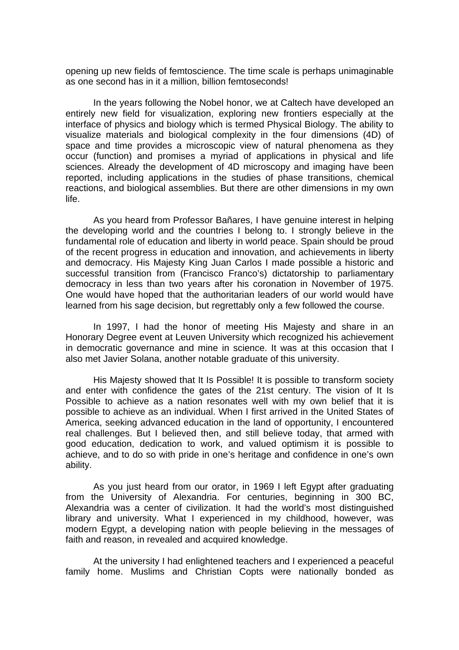opening up new fields of femtoscience. The time scale is perhaps unimaginable as one second has in it a million, billion femtoseconds!

In the years following the Nobel honor, we at Caltech have developed an entirely new field for visualization, exploring new frontiers especially at the interface of physics and biology which is termed Physical Biology. The ability to visualize materials and biological complexity in the four dimensions (4D) of space and time provides a microscopic view of natural phenomena as they occur (function) and promises a myriad of applications in physical and life sciences. Already the development of 4D microscopy and imaging have been reported, including applications in the studies of phase transitions, chemical reactions, and biological assemblies. But there are other dimensions in my own life.

As you heard from Professor Bañares, I have genuine interest in helping the developing world and the countries I belong to. I strongly believe in the fundamental role of education and liberty in world peace. Spain should be proud of the recent progress in education and innovation, and achievements in liberty and democracy. His Majesty King Juan Carlos I made possible a historic and successful transition from (Francisco Franco's) dictatorship to parliamentary democracy in less than two years after his coronation in November of 1975. One would have hoped that the authoritarian leaders of our world would have learned from his sage decision, but regrettably only a few followed the course.

In 1997, I had the honor of meeting His Majesty and share in an Honorary Degree event at Leuven University which recognized his achievement in democratic governance and mine in science. It was at this occasion that I also met Javier Solana, another notable graduate of this university.

His Majesty showed that It Is Possible! It is possible to transform society and enter with confidence the gates of the 21st century. The vision of It Is Possible to achieve as a nation resonates well with my own belief that it is possible to achieve as an individual. When I first arrived in the United States of America, seeking advanced education in the land of opportunity, I encountered real challenges. But I believed then, and still believe today, that armed with good education, dedication to work, and valued optimism it is possible to achieve, and to do so with pride in one's heritage and confidence in one's own ability.

As you just heard from our orator, in 1969 I left Egypt after graduating from the University of Alexandria. For centuries, beginning in 300 BC, Alexandria was a center of civilization. It had the world's most distinguished library and university. What I experienced in my childhood, however, was modern Egypt, a developing nation with people believing in the messages of faith and reason, in revealed and acquired knowledge.

At the university I had enlightened teachers and I experienced a peaceful family home. Muslims and Christian Copts were nationally bonded as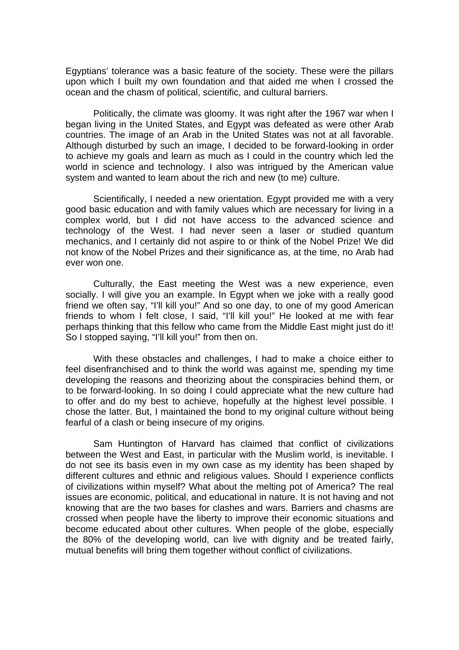Egyptians' tolerance was a basic feature of the society. These were the pillars upon which I built my own foundation and that aided me when I crossed the ocean and the chasm of political, scientific, and cultural barriers.

Politically, the climate was gloomy. It was right after the 1967 war when I began living in the United States, and Egypt was defeated as were other Arab countries. The image of an Arab in the United States was not at all favorable. Although disturbed by such an image, I decided to be forward-looking in order to achieve my goals and learn as much as I could in the country which led the world in science and technology. I also was intrigued by the American value system and wanted to learn about the rich and new (to me) culture.

Scientifically, I needed a new orientation. Egypt provided me with a very good basic education and with family values which are necessary for living in a complex world, but I did not have access to the advanced science and technology of the West. I had never seen a laser or studied quantum mechanics, and I certainly did not aspire to or think of the Nobel Prize! We did not know of the Nobel Prizes and their significance as, at the time, no Arab had ever won one.

Culturally, the East meeting the West was a new experience, even socially. I will give you an example. In Egypt when we joke with a really good friend we often say, "I'll kill you!" And so one day, to one of my good American friends to whom I felt close, I said, "I'll kill you!" He looked at me with fear perhaps thinking that this fellow who came from the Middle East might just do it! So I stopped saying, "I'll kill you!" from then on.

With these obstacles and challenges, I had to make a choice either to feel disenfranchised and to think the world was against me, spending my time developing the reasons and theorizing about the conspiracies behind them, or to be forward-looking. In so doing I could appreciate what the new culture had to offer and do my best to achieve, hopefully at the highest level possible. I chose the latter. But, I maintained the bond to my original culture without being fearful of a clash or being insecure of my origins.

Sam Huntington of Harvard has claimed that conflict of civilizations between the West and East, in particular with the Muslim world, is inevitable. I do not see its basis even in my own case as my identity has been shaped by different cultures and ethnic and religious values. Should I experience conflicts of civilizations within myself? What about the melting pot of America? The real issues are economic, political, and educational in nature. It is not having and not knowing that are the two bases for clashes and wars. Barriers and chasms are crossed when people have the liberty to improve their economic situations and become educated about other cultures. When people of the globe, especially the 80% of the developing world, can live with dignity and be treated fairly, mutual benefits will bring them together without conflict of civilizations.